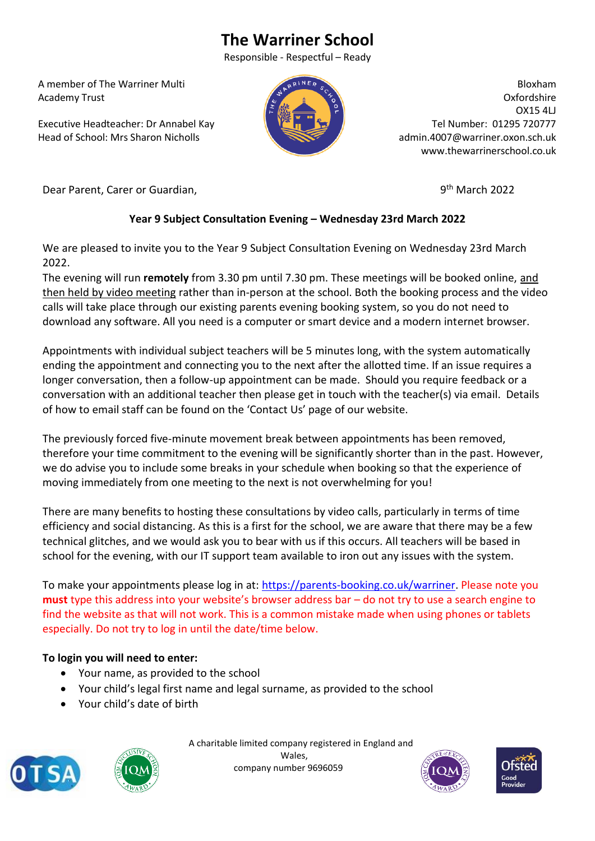# **The Warriner School**

Responsible - Respectful – Ready

 A member of The Warriner Multi Academy Trust

 Executive Headteacher: Dr Annabel Kay Head of School: Mrs Sharon Nicholls



Bloxham Oxfordshire OX15 4LJ Tel Number: 01295 720777 admin.4007@warriner.oxon.sch.uk www.thewarrinerschool.co.uk

Dear Parent, Carer or Guardian,

9<sup>th</sup> March 2022

## **Year 9 Subject Consultation Evening – Wednesday 23rd March 2022**

We are pleased to invite you to the Year 9 Subject Consultation Evening on Wednesday 23rd March 2022.

The evening will run **remotely** from 3.30 pm until 7.30 pm. These meetings will be booked online, and then held by video meeting rather than in-person at the school. Both the booking process and the video calls will take place through our existing parents evening booking system, so you do not need to download any software. All you need is a computer or smart device and a modern internet browser.

Appointments with individual subject teachers will be 5 minutes long, with the system automatically ending the appointment and connecting you to the next after the allotted time. If an issue requires a longer conversation, then a follow-up appointment can be made. Should you require feedback or a conversation with an additional teacher then please get in touch with the teacher(s) via email. Details of how to email staff can be found on the 'Contact Us' page of our website.

The previously forced five-minute movement break between appointments has been removed, therefore your time commitment to the evening will be significantly shorter than in the past. However, we do advise you to include some breaks in your schedule when booking so that the experience of moving immediately from one meeting to the next is not overwhelming for you!

There are many benefits to hosting these consultations by video calls, particularly in terms of time efficiency and social distancing. As this is a first for the school, we are aware that there may be a few technical glitches, and we would ask you to bear with us if this occurs. All teachers will be based in school for the evening, with our IT support team available to iron out any issues with the system.

To make your appointments please log in at: [https://parents-booking.co.uk/warriner.](https://parents-booking.co.uk/warriner) Please note you **must** type this address into your website's browser address bar – do not try to use a search engine to find the website as that will not work. This is a common mistake made when using phones or tablets especially. Do not try to log in until the date/time below.

### **To login you will need to enter:**

- Your name, as provided to the school
- Your child's legal first name and legal surname, as provided to the school
- Your child's date of birth





 A charitable limited company registered in England and Wales, company number 9696059